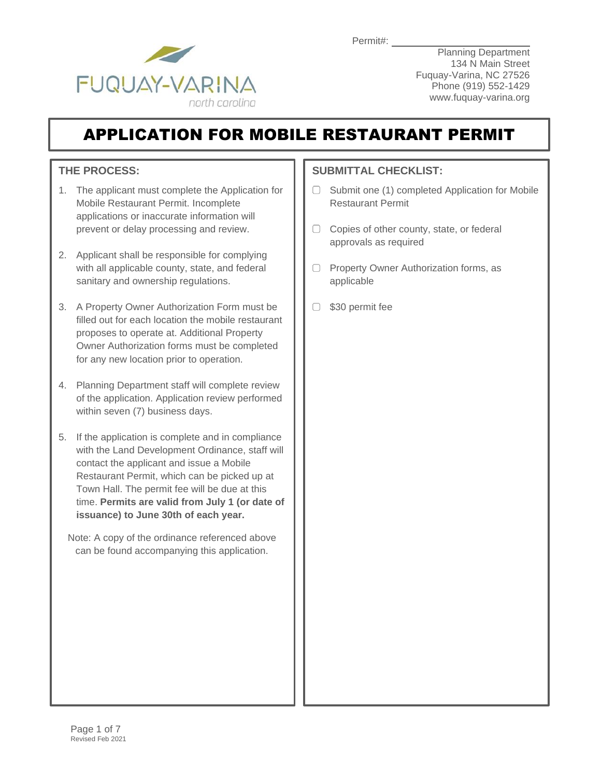Permit#:



**Planning Department** 134 N Main Street Fuquay-Varina, NC 27526 Phone (919) 552-1429 www.fuquay-varina.org

# APPLICATION FOR MOBILE RESTAURANT PERMIT

### **THE PROCESS:**

- 1. The applicant must complete the Application for Mobile Restaurant Permit. Incomplete applications or inaccurate information will prevent or delay processing and review.
- 2. Applicant shall be responsible for complying with all applicable county, state, and federal sanitary and ownership regulations.
- 3. A Property Owner Authorization Form must be filled out for each location the mobile restaurant proposes to operate at. Additional Property Owner Authorization forms must be completed for any new location prior to operation.
- 4. Planning Department staff will complete review of the application. Application review performed within seven (7) business days.
- 5. If the application is complete and in compliance with the Land Development Ordinance, staff will contact the applicant and issue a Mobile Restaurant Permit, which can be picked up at Town Hall. The permit fee will be due at this time. **Permits are valid from July 1 (or date of issuance) to June 30th of each year.** 
	- Note: A copy of the ordinance referenced above can be found accompanying this application.

### **SUBMITTAL CHECKLIST:**

- $\Box$  Submit one (1) completed Application for Mobile Restaurant Permit
- $\Box$  Copies of other county, state, or federal approvals as required
- $\Box$  Property Owner Authorization forms, as applicable
- □ \$30 permit fee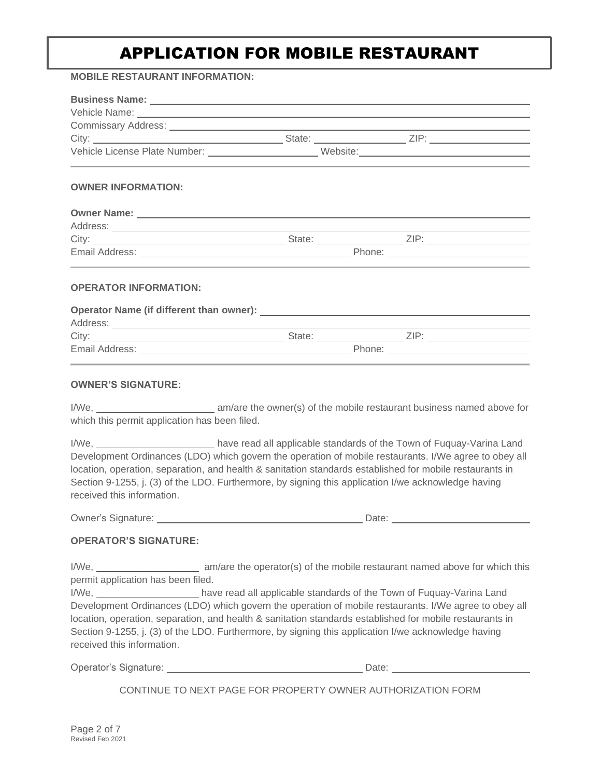# APPLICATION FOR MOBILE RESTAURANT

#### **MOBILE RESTAURANT INFORMATION:**

| Commissary Address: New York Commissary Address: New York Commissary Address: New York Commissary Address: New York Commissary Address: New York Commissary Address: New York Commissary Address: New York Commissary Address:                                                                                                                                                          |  |                                                                                                       |  |
|-----------------------------------------------------------------------------------------------------------------------------------------------------------------------------------------------------------------------------------------------------------------------------------------------------------------------------------------------------------------------------------------|--|-------------------------------------------------------------------------------------------------------|--|
|                                                                                                                                                                                                                                                                                                                                                                                         |  |                                                                                                       |  |
|                                                                                                                                                                                                                                                                                                                                                                                         |  |                                                                                                       |  |
| <b>OWNER INFORMATION:</b>                                                                                                                                                                                                                                                                                                                                                               |  |                                                                                                       |  |
|                                                                                                                                                                                                                                                                                                                                                                                         |  |                                                                                                       |  |
|                                                                                                                                                                                                                                                                                                                                                                                         |  |                                                                                                       |  |
|                                                                                                                                                                                                                                                                                                                                                                                         |  |                                                                                                       |  |
|                                                                                                                                                                                                                                                                                                                                                                                         |  |                                                                                                       |  |
| <b>OPERATOR INFORMATION:</b>                                                                                                                                                                                                                                                                                                                                                            |  |                                                                                                       |  |
|                                                                                                                                                                                                                                                                                                                                                                                         |  |                                                                                                       |  |
|                                                                                                                                                                                                                                                                                                                                                                                         |  |                                                                                                       |  |
|                                                                                                                                                                                                                                                                                                                                                                                         |  |                                                                                                       |  |
|                                                                                                                                                                                                                                                                                                                                                                                         |  |                                                                                                       |  |
| <b>OWNER'S SIGNATURE:</b>                                                                                                                                                                                                                                                                                                                                                               |  |                                                                                                       |  |
| which this permit application has been filed.                                                                                                                                                                                                                                                                                                                                           |  |                                                                                                       |  |
| I/We, ____________________________have read all applicable standards of the Town of Fuquay-Varina Land<br>location, operation, separation, and health & sanitation standards established for mobile restaurants in<br>Section 9-1255, j. (3) of the LDO. Furthermore, by signing this application I/we acknowledge having<br>received this information.                                 |  | Development Ordinances (LDO) which govern the operation of mobile restaurants. I/We agree to obey all |  |
|                                                                                                                                                                                                                                                                                                                                                                                         |  |                                                                                                       |  |
| <b>OPERATOR'S SIGNATURE:</b>                                                                                                                                                                                                                                                                                                                                                            |  |                                                                                                       |  |
| permit application has been filed.<br>I/We, ______________________have read all applicable standards of the Town of Fuquay-Varina Land<br>location, operation, separation, and health & sanitation standards established for mobile restaurants in<br>Section 9-1255, j. (3) of the LDO. Furthermore, by signing this application I/we acknowledge having<br>received this information. |  | Development Ordinances (LDO) which govern the operation of mobile restaurants. I/We agree to obey all |  |
|                                                                                                                                                                                                                                                                                                                                                                                         |  |                                                                                                       |  |
|                                                                                                                                                                                                                                                                                                                                                                                         |  | CONTINUE TO NEXT PAGE FOR PROPERTY OWNER AUTHORIZATION FORM                                           |  |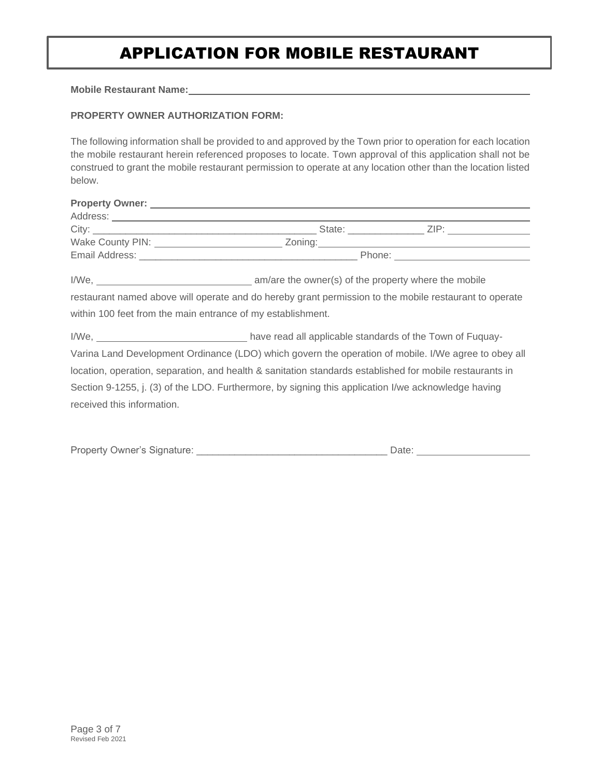## APPLICATION FOR MOBILE RESTAURANT

**Mobile Restaurant Name:**

#### **PROPERTY OWNER AUTHORIZATION FORM:**

The following information shall be provided to and approved by the Town prior to operation for each location the mobile restaurant herein referenced proposes to locate. Town approval of this application shall not be construed to grant the mobile restaurant permission to operate at any location other than the location listed below.

|                                                             | Property Owner: Network and the settlement of the settlement of the settlement of the settlement of the settlement of the settlement of the settlement of the settlement of the settlement of the settlement of the settlement |  |  |
|-------------------------------------------------------------|--------------------------------------------------------------------------------------------------------------------------------------------------------------------------------------------------------------------------------|--|--|
|                                                             |                                                                                                                                                                                                                                |  |  |
|                                                             |                                                                                                                                                                                                                                |  |  |
|                                                             | Wake County PIN: ___________________________Zoning:_____________________________                                                                                                                                               |  |  |
|                                                             |                                                                                                                                                                                                                                |  |  |
|                                                             |                                                                                                                                                                                                                                |  |  |
|                                                             | restaurant named above will operate and do hereby grant permission to the mobile restaurant to operate                                                                                                                         |  |  |
| within 100 feet from the main entrance of my establishment. |                                                                                                                                                                                                                                |  |  |
|                                                             |                                                                                                                                                                                                                                |  |  |
|                                                             | Varina Land Development Ordinance (LDO) which govern the operation of mobile. I/We agree to obey all                                                                                                                           |  |  |
|                                                             | location, operation, separation, and health & sanitation standards established for mobile restaurants in                                                                                                                       |  |  |
|                                                             | Section 9-1255, j. (3) of the LDO. Furthermore, by signing this application I/we acknowledge having                                                                                                                            |  |  |
| received this information.                                  |                                                                                                                                                                                                                                |  |  |

| <b>Property Owner's Signature:</b> | Date: |  |
|------------------------------------|-------|--|
|                                    |       |  |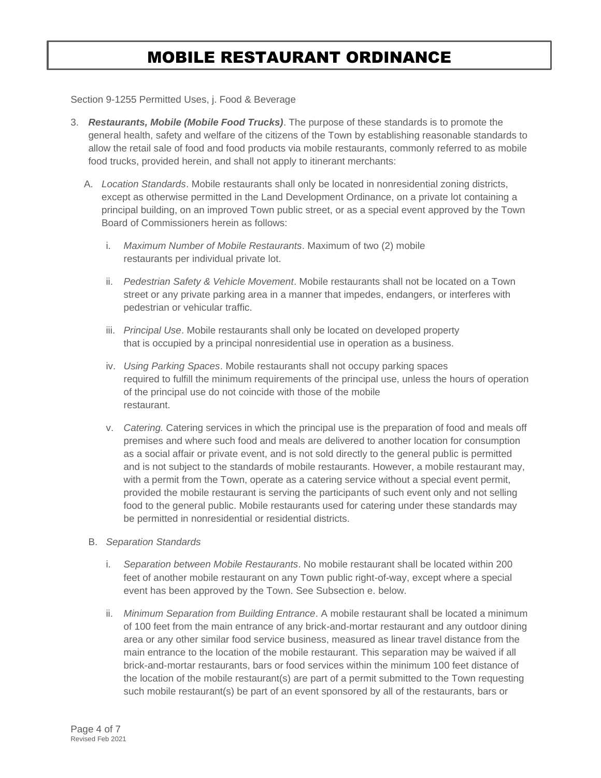## MOBILE RESTAURANT ORDINANCE

Section 9-1255 Permitted Uses, j. Food & Beverage

- 3. *Restaurants, Mobile (Mobile Food Trucks)*. The purpose of these standards is to promote the general health, safety and welfare of the citizens of the Town by establishing reasonable standards to allow the retail sale of food and food products via mobile restaurants, commonly referred to as mobile food trucks, provided herein, and shall not apply to itinerant merchants:
	- A. *Location Standards*. Mobile restaurants shall only be located in nonresidential zoning districts, except as otherwise permitted in the Land Development Ordinance, on a private lot containing a principal building, on an improved Town public street, or as a special event approved by the Town Board of Commissioners herein as follows:
		- i. *Maximum Number of Mobile Restaurants*. Maximum of two (2) mobile restaurants per individual private lot.
		- ii. *Pedestrian Safety & Vehicle Movement*. Mobile restaurants shall not be located on a Town street or any private parking area in a manner that impedes, endangers, or interferes with pedestrian or vehicular traffic.
		- iii. *Principal Use*. Mobile restaurants shall only be located on developed property that is occupied by a principal nonresidential use in operation as a business.
		- iv. *Using Parking Spaces*. Mobile restaurants shall not occupy parking spaces required to fulfill the minimum requirements of the principal use, unless the hours of operation of the principal use do not coincide with those of the mobile restaurant.
		- v. *Catering.* Catering services in which the principal use is the preparation of food and meals off premises and where such food and meals are delivered to another location for consumption as a social affair or private event, and is not sold directly to the general public is permitted and is not subject to the standards of mobile restaurants. However, a mobile restaurant may, with a permit from the Town, operate as a catering service without a special event permit, provided the mobile restaurant is serving the participants of such event only and not selling food to the general public. Mobile restaurants used for catering under these standards may be permitted in nonresidential or residential districts.
	- B. *Separation Standards*
		- i. *Separation between Mobile Restaurants*. No mobile restaurant shall be located within 200 feet of another mobile restaurant on any Town public right-of-way, except where a special event has been approved by the Town. See Subsection e. below.
		- ii. *Minimum Separation from Building Entrance*. A mobile restaurant shall be located a minimum of 100 feet from the main entrance of any brick-and-mortar restaurant and any outdoor dining area or any other similar food service business, measured as linear travel distance from the main entrance to the location of the mobile restaurant. This separation may be waived if all brick-and-mortar restaurants, bars or food services within the minimum 100 feet distance of the location of the mobile restaurant(s) are part of a permit submitted to the Town requesting such mobile restaurant(s) be part of an event sponsored by all of the restaurants, bars or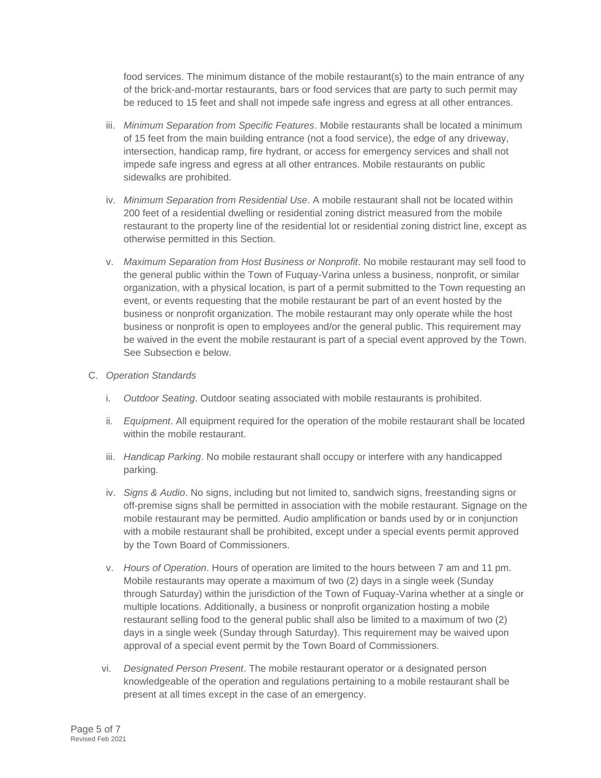food services. The minimum distance of the mobile restaurant(s) to the main entrance of any of the brick-and-mortar restaurants, bars or food services that are party to such permit may be reduced to 15 feet and shall not impede safe ingress and egress at all other entrances.

- iii. *Minimum Separation from Specific Features*. Mobile restaurants shall be located a minimum of 15 feet from the main building entrance (not a food service), the edge of any driveway, intersection, handicap ramp, fire hydrant, or access for emergency services and shall not impede safe ingress and egress at all other entrances. Mobile restaurants on public sidewalks are prohibited.
- iv. *Minimum Separation from Residential Use*. A mobile restaurant shall not be located within 200 feet of a residential dwelling or residential zoning district measured from the mobile restaurant to the property line of the residential lot or residential zoning district line, except as otherwise permitted in this Section.
- v. *Maximum Separation from Host Business or Nonprofit*. No mobile restaurant may sell food to the general public within the Town of Fuquay-Varina unless a business, nonprofit, or similar organization, with a physical location, is part of a permit submitted to the Town requesting an event, or events requesting that the mobile restaurant be part of an event hosted by the business or nonprofit organization. The mobile restaurant may only operate while the host business or nonprofit is open to employees and/or the general public. This requirement may be waived in the event the mobile restaurant is part of a special event approved by the Town. See Subsection e below.

#### C. *Operation Standards*

- i. *Outdoor Seating*. Outdoor seating associated with mobile restaurants is prohibited.
- ii. *Equipment*. All equipment required for the operation of the mobile restaurant shall be located within the mobile restaurant.
- iii. *Handicap Parking*. No mobile restaurant shall occupy or interfere with any handicapped parking.
- iv. *Signs & Audio*. No signs, including but not limited to, sandwich signs, freestanding signs or off-premise signs shall be permitted in association with the mobile restaurant. Signage on the mobile restaurant may be permitted. Audio amplification or bands used by or in conjunction with a mobile restaurant shall be prohibited, except under a special events permit approved by the Town Board of Commissioners.
- v. *Hours of Operation*. Hours of operation are limited to the hours between 7 am and 11 pm. Mobile restaurants may operate a maximum of two (2) days in a single week (Sunday through Saturday) within the jurisdiction of the Town of Fuquay-Varina whether at a single or multiple locations. Additionally, a business or nonprofit organization hosting a mobile restaurant selling food to the general public shall also be limited to a maximum of two (2) days in a single week (Sunday through Saturday). This requirement may be waived upon approval of a special event permit by the Town Board of Commissioners.
- vi. *Designated Person Present*. The mobile restaurant operator or a designated person knowledgeable of the operation and regulations pertaining to a mobile restaurant shall be present at all times except in the case of an emergency.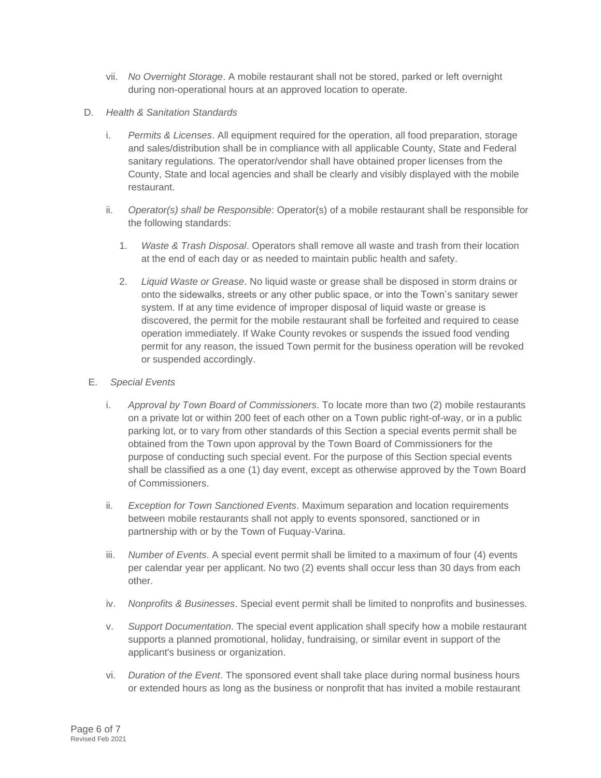- vii. *No Overnight Storage*. A mobile restaurant shall not be stored, parked or left overnight during non-operational hours at an approved location to operate.
- D. *Health & Sanitation Standards*
	- i. *Permits & Licenses*. All equipment required for the operation, all food preparation, storage and sales/distribution shall be in compliance with all applicable County, State and Federal sanitary regulations. The operator/vendor shall have obtained proper licenses from the County, State and local agencies and shall be clearly and visibly displayed with the mobile restaurant.
	- ii. *Operator(s) shall be Responsible*: Operator(s) of a mobile restaurant shall be responsible for the following standards:
		- 1. *Waste & Trash Disposal*. Operators shall remove all waste and trash from their location at the end of each day or as needed to maintain public health and safety.
		- 2. *Liquid Waste or Grease*. No liquid waste or grease shall be disposed in storm drains or onto the sidewalks, streets or any other public space, or into the Town's sanitary sewer system. If at any time evidence of improper disposal of liquid waste or grease is discovered, the permit for the mobile restaurant shall be forfeited and required to cease operation immediately. If Wake County revokes or suspends the issued food vending permit for any reason, the issued Town permit for the business operation will be revoked or suspended accordingly.
- E. *Special Events*
	- i. *Approval by Town Board of Commissioners*. To locate more than two (2) mobile restaurants on a private lot or within 200 feet of each other on a Town public right-of-way, or in a public parking lot, or to vary from other standards of this Section a special events permit shall be obtained from the Town upon approval by the Town Board of Commissioners for the purpose of conducting such special event. For the purpose of this Section special events shall be classified as a one (1) day event, except as otherwise approved by the Town Board of Commissioners.
	- ii. *Exception for Town Sanctioned Events*. Maximum separation and location requirements between mobile restaurants shall not apply to events sponsored, sanctioned or in partnership with or by the Town of Fuquay-Varina.
	- iii. *Number of Events*. A special event permit shall be limited to a maximum of four (4) events per calendar year per applicant. No two (2) events shall occur less than 30 days from each other.
	- iv. *Nonprofits & Businesses*. Special event permit shall be limited to nonprofits and businesses.
	- v. *Support Documentation*. The special event application shall specify how a mobile restaurant supports a planned promotional, holiday, fundraising, or similar event in support of the applicant's business or organization.
	- vi. *Duration of the Event*. The sponsored event shall take place during normal business hours or extended hours as long as the business or nonprofit that has invited a mobile restaurant